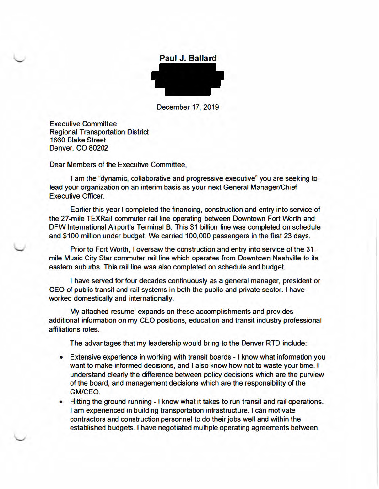

December 17, 2019

**Executive Committee Regional Transportation District 1660 Blake Street Denver, CO 80202** 

Dear Members of the Executive Committee,

I am the "dynamic, collaborative and progressive executive" you are seeking to lead your organization on an interim basis as your next General Manager/Chief **Executive Officer.** 

Earlier this year I completed the financing, construction and entry into service of the 27-mile TEXRail commuter rail line operating between Downtown Fort Worth and DFW International Airport's Terminal B. This \$1 billion line was completed on schedule and \$100 million under budget. We carried 100,000 passengers in the first 23 days.

Prior to Fort Worth, I oversaw the construction and entry into service of the 31mile Music City Star commuter rail line which operates from Downtown Nashville to its eastern suburbs. This rail line was also completed on schedule and budget.

I have served for four decades continuously as a general manager, president or CEO of public transit and rail systems in both the public and private sector. I have worked domestically and internationally.

My attached resume' expands on these accomplishments and provides additional information on my CEO positions, education and transit industry professional affiliations roles.

The advantages that my leadership would bring to the Denver RTD include:

- Extensive experience in working with transit boards I know what information you want to make informed decisions, and I also know how not to waste your time. I understand clearly the difference between policy decisions which are the purview of the board, and management decisions which are the responsibility of the GM/CEO.
- Hitting the ground running I know what it takes to run transit and rail operations. I am experienced in building transportation infrastructure. I can motivate contractors and construction personnel to do their jobs well and within the established budgets. I have negotiated multiple operating agreements between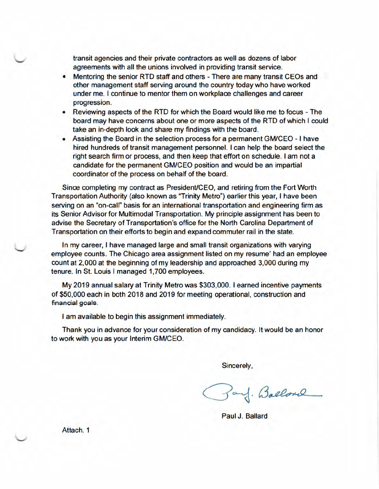transit agencies and their private contractors as well as dozens of labor agreements with all the unions involved in providing transit service.

- Mentoring the senior RTD staff and others There are many transit CEOs and other management staff serving around the country today who have worked under me. I continue to mentor them on workplace challenges and career progression.
- Reviewing aspects of the RTD for which the Board would like me to focus The board may have concerns about one or more aspects of the RTD of which I could take an in-depth look and share my findings with the board.
- Assisting the Board in the selection process for a permanent GM/CEO I have hired hundreds of transit management personnel. I can help the board select the right search firm or process, and then keep that effort on schedule. I am not a candidate for the permanent GM/CEO position and would be an impartial coordinator of the process on behalf of the board.

Since completing my contract as President/CEO, and retiring from the Fort Worth Transportation Authority (also known as "Trinity Metro") earlier this year, I have been serving on an "on-call" basis for an international transportation and engineering firm as its Senior Advisor for Multimodal Transportation. My principle assignment has been to advise the Secretary of Transportation's office for the North Carolina Department of Transportation on their efforts to begin and expand commuter rail in the state.

In my career, I have managed large and small transit organizations with varying employee counts. The Chicago area assignment listed on my resume' had an employee count at 2,000 at the beginning of my leadership and approached 3,000 during my tenure. In St. Louis I managed 1,700 employees.

My 2019 annual salary at Trinity Metro was \$303,000. I earned incentive payments of \$50,000 each in both 2018 and 2019 for meeting operational, construction and financial goals.

I am available to begin this assignment immediately.

Thank you in advance for your consideration of my candidacy. It would be an honor to work with you as your Interim GM/CEO.

Sincerely,

Zand. Ballond

Paul J. Ballard

Attach. 1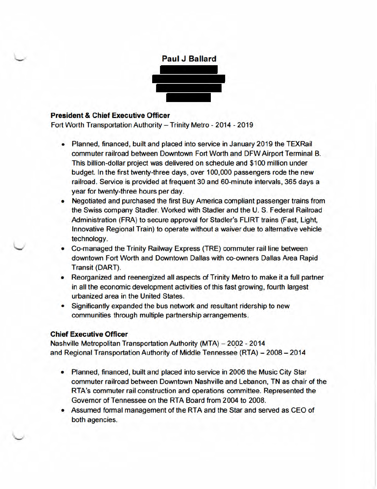

## **President & Chief Executive Officer**

Fort Worth Transportation Authority - Trinity Metro - 2014 - 2019

- Planned, financed, built and placed into service in January 2019 the TEXRail commuter railroad between Downtown Fort Worth and DFW Airport Terminal B. This billion-dollar project was delivered on schedule and \$100 million under budget. In the first twenty-three days, over 100,000 passengers rode the new railroad. Service is provided at frequent 30 and 60-minute intervals, 365 days a year for twenty-three hours per day.
- Negotiated and purchased the first Buy America compliant passenger trains from the Swiss company Stadler. Worked with Stadler and the U. S. Federal Railroad Administration (FRA) to secure approval for Stadler's FLIRT trains (Fast, Light, Innovative Regional Train) to operate without a waiver due to alternative vehicle technology.
- Co-managed the Trinity Railway Express (TRE) commuter rail line between downtown Fort Worth and Downtown Dallas with co-owners Dallas Area Rapid Transit (DART).
- Reorganized and reenergized all aspects of Trinity Metro to make it a full partner in all the economic development activities of this fast growing, fourth largest urbanized area in the United States.
- Significantly expanded the bus network and resultant ridership to new communities through multiple partnership arrangements.

### **Chief Executive Officer**

Nashville Metropolitan Transportation Authority (MTA) - 2002 - 2014 and Regional Transportation Authority of Middle Tennessee (RTA) - 2008 - 2014

- Planned, financed, built and placed into service in 2006 the Music City Star commuter railroad between Downtown Nashville and Lebanon. TN as chair of the RTA's commuter rail construction and operations committee. Represented the Governor of Tennessee on the RTA Board from 2004 to 2008.
- Assumed formal management of the RTA and the Star and served as CEO of both agencies.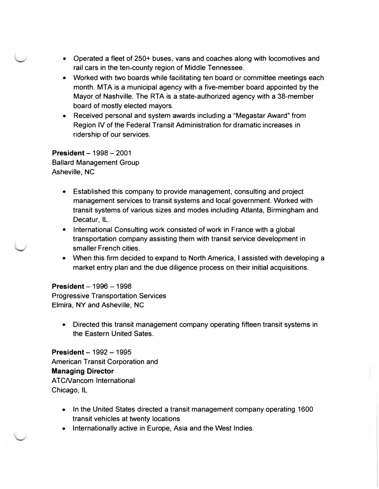- Operated a fleet of 250+ buses, vans and coaches along with locomotives and rail cars in the ten-county region of Middle Tennessee.
- Worked with two boards while facilitating ten board or committee meetings each month. MTA is a municipal agency with a five-member board appointed by the Mayor of Nashville. The RTA is a state-authorized agency with a 38-member board of mostly elected mayors.
- Received personal and system awards including a "Megastar Award" from Region IV of the Federal Transit Administration for dramatic increases in ridership of our services.

**President - 1998 - 2001** Ballard Management Group Asheville, NC

- Established this company to provide management, consulting and project management services to transit systems and local government. Worked with transit systems of various sizes and modes including Atlanta, Birmingham and Decatur, IL.
- International Consulting work consisted of work in France with a global transportation company assisting them with transit service development in smaller French cities.
- When this firm decided to expand to North America, I assisted with developing a market entry plan and the due diligence process on their initial acquisitions.

### **President - 1996 - 1998**

Progressive Transportation Services Elmira, NY and Asheville, NC

• Directed this transit management company operating fifteen transit systems in the Eastern United Sates.

**President** - 1992 - 1995 American Transit Corporation and **Managing Director**  ATCNancom International Chicago, IL

- In the United States directed a transit management company operating 1600 transit vehicles at twenty locations
- Internationally active in Europe, Asia and the West Indies.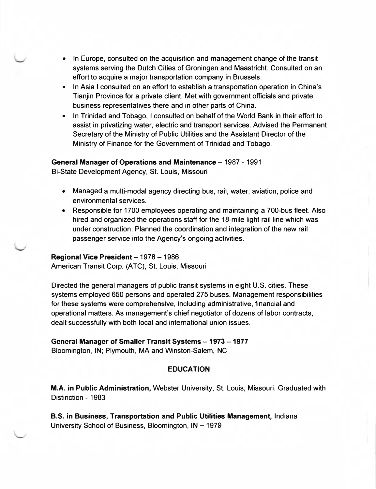- In Europe, consulted on the acquisition and management change of the transit systems serving the Dutch Cities of Groningen and Maastricht. Consulted on an effort to acquire a major transportation company in Brussels.
- In Asia I consulted on an effort to establish a transportation operation in China's Tianjin Province for a private client. Met with government officials and private business representatives there and in other parts of China.
- In Trinidad and Tobago, I consulted on behalf of the World Bank in their effort to assist in privatizing water, electric and transport services. Advised the Permanent Secretary of the Ministry of Public Utilities and the Assistant Director of the Ministry of Finance for the Government of Trinidad and Tobago.

#### **General Manager of Operations and Maintenance - 1987 - 1991**

Bi-State Development Agency, St. Louis, Missouri

- Managed a multi-modal agency directing bus, rail, water, aviation, police and environmental services.
- Responsible for 1700 employees operating and maintaining a 700-bus fleet. Also hired and organized the operations staff for the 18-mile light rail line which was under construction. Planned the coordination and integration of the new rail passenger service into the Agency's ongoing activities.

#### **Regional Vice President - 1978 - 1986**

American Transit Corp. (ATC), St. Louis, Missouri

Directed the general managers of public transit systems in eight U.S. cities. These systems employed 650 persons and operated 275 buses. Management responsibilities for these systems were comprehensive, including administrative, financial and operational matters. As management's chief negotiator of dozens of labor contracts, dealt successfully with both local and international union issues.

#### General Manager of Smaller Transit Systems - 1973 - 1977

Bloomington, IN; Plymouth, MA and Winston-Salem, NC

#### **EDUCATION**

**M.A. in Public Administration,** Webster University, St. Louis, Missouri. Graduated with Distinction - 1983

**B.S. in Business, Transportation and Public Utilities Management,** Indiana University School of Business, Bloomington, IN - 1979